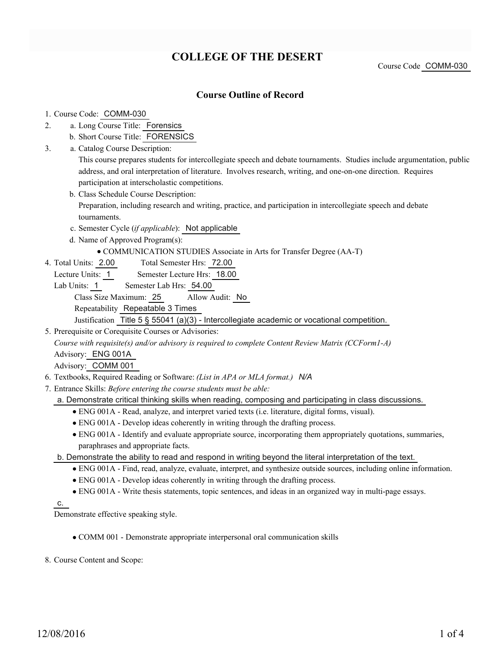# **COLLEGE OF THE DESERT**

Course Code COMM-030

## **Course Outline of Record**

#### 1. Course Code: COMM-030

- a. Long Course Title: Forensics 2.
	- b. Short Course Title: FORENSICS
- Catalog Course Description: a. 3.

This course prepares students for intercollegiate speech and debate tournaments. Studies include argumentation, public address, and oral interpretation of literature. Involves research, writing, and one-on-one direction. Requires participation at interscholastic competitions.

- b. Class Schedule Course Description: Preparation, including research and writing, practice, and participation in intercollegiate speech and debate tournaments.
- c. Semester Cycle (*if applicable*): Not applicable
- d. Name of Approved Program(s):

#### COMMUNICATION STUDIES Associate in Arts for Transfer Degree (AA-T)

- Total Semester Hrs: 72.00 4. Total Units: 2.00
	- Lecture Units: 1 Semester Lecture Hrs: 18.00
	- Lab Units: 1 Semester Lab Hrs: 54.00

Class Size Maximum: 25 Allow Audit: No

Repeatability Repeatable 3 Times

Justification Title 5 § 55041 (a)(3) - Intercollegiate academic or vocational competition.

5. Prerequisite or Corequisite Courses or Advisories:

*Course with requisite(s) and/or advisory is required to complete Content Review Matrix (CCForm1-A)* Advisory: ENG 001A

Advisory: COMM 001

- 6. Textbooks, Required Reading or Software: *(List in APA or MLA format.) N/A*
- Entrance Skills: *Before entering the course students must be able:* 7.
	- a. Demonstrate critical thinking skills when reading, composing and participating in class discussions.
		- ENG 001A Read, analyze, and interpret varied texts (i.e. literature, digital forms, visual).
		- ENG 001A Develop ideas coherently in writing through the drafting process.
		- ENG 001A Identify and evaluate appropriate source, incorporating them appropriately quotations, summaries, paraphrases and appropriate facts.
	- b. Demonstrate the ability to read and respond in writing beyond the literal interpretation of the text.
		- ENG 001A Find, read, analyze, evaluate, interpret, and synthesize outside sources, including online information.
		- ENG 001A Develop ideas coherently in writing through the drafting process.
		- ENG 001A Write thesis statements, topic sentences, and ideas in an organized way in multi-page essays.

c.

Demonstrate effective speaking style.

COMM 001 - Demonstrate appropriate interpersonal oral communication skills

8. Course Content and Scope: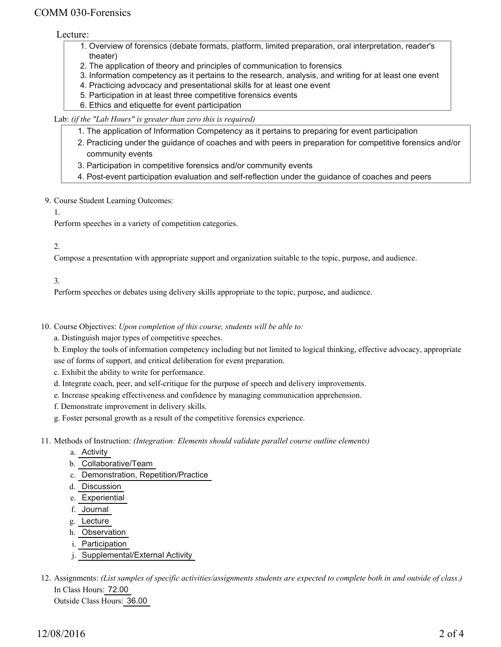# COMM 030-Forensics

#### Lecture:

- 1. Overview of forensics (debate formats, platform, limited preparation, oral interpretation, reader's theater)
- 2. The application of theory and principles of communication to forensics
- 3. Information competency as it pertains to the research, analysis, and writing for at least one event
- 4. Practicing advocacy and presentational skills for at least one event
- 5. Participation in at least three competitive forensics events
- 6. Ethics and etiquette for event participation

#### Lab: *(if the "Lab Hours" is greater than zero this is required)*

- 1. The application of Information Competency as it pertains to preparing for event participation
- 2. Practicing under the guidance of coaches and with peers in preparation for competitive forensics and/or community events
- 3. Participation in competitive forensics and/or community events
- 4. Post-event participation evaluation and self-reflection under the guidance of coaches and peers

#### 9. Course Student Learning Outcomes:

#### 1.

Perform speeches in a variety of competition categories.

### 2.

Compose a presentation with appropriate support and organization suitable to the topic, purpose, and audience.

### 3.

Perform speeches or debates using delivery skills appropriate to the topic, purpose, and audience.

- 10. Course Objectives: Upon completion of this course, students will be able to:
	- a. Distinguish major types of competitive speeches.

b. Employ the tools of information competency including but not limited to logical thinking, effective advocacy, appropriate use of forms of support, and critical deliberation for event preparation.

- c. Exhibit the ability to write for performance.
- d. Integrate coach, peer, and self-critique for the purpose of speech and delivery improvements.
- e. Increase speaking effectiveness and confidence by managing communication apprehension.
- f. Demonstrate improvement in delivery skills.
- g. Foster personal growth as a result of the competitive forensics experience.

Methods of Instruction: *(Integration: Elements should validate parallel course outline elements)* 11.

- a. Activity
- b. Collaborative/Team
- c. Demonstration, Repetition/Practice
- d. Discussion
- e. Experiential
- f. Journal
- g. Lecture
- h. Observation
- i. Participation
- j. Supplemental/External Activity
- 12. Assignments: (List samples of specific activities/assignments students are expected to complete both in and outside of class.) In Class Hours: 72.00 Outside Class Hours: 36.00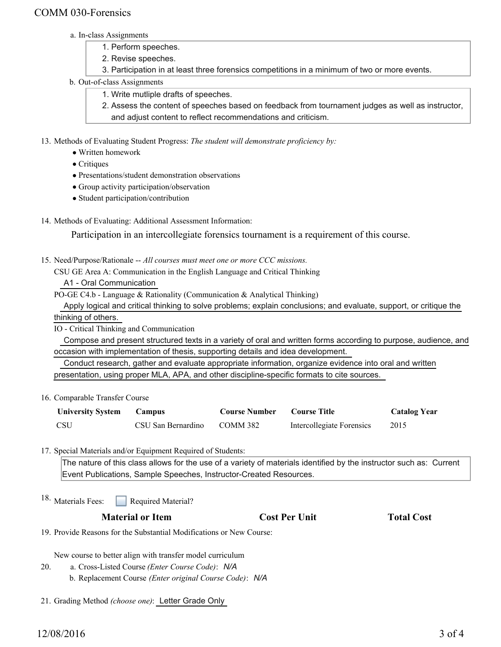# COMM 030-Forensics

- a. In-class Assignments
	- 1. Perform speeches.
	- 2. Revise speeches.
	- 3. Participation in at least three forensics competitions in a minimum of two or more events.
- b. Out-of-class Assignments
	- 1. Write mutliple drafts of speeches.
	- 2. Assess the content of speeches based on feedback from tournament judges as well as instructor, and adjust content to reflect recommendations and criticism.

13. Methods of Evaluating Student Progress: The student will demonstrate proficiency by:

- Written homework
- Critiques
- Presentations/student demonstration observations
- Group activity participation/observation
- Student participation/contribution
- 14. Methods of Evaluating: Additional Assessment Information:

Participation in an intercollegiate forensics tournament is a requirement of this course.

- 15. Need/Purpose/Rationale -- All courses must meet one or more CCC missions.
	- CSU GE Area A: Communication in the English Language and Critical Thinking

A1 - Oral Communication

PO-GE C4.b - Language & Rationality (Communication & Analytical Thinking)

 Apply logical and critical thinking to solve problems; explain conclusions; and evaluate, support, or critique the thinking of others.

IO - Critical Thinking and Communication

 Compose and present structured texts in a variety of oral and written forms according to purpose, audience, and occasion with implementation of thesis, supporting details and idea development.

 Conduct research, gather and evaluate appropriate information, organize evidence into oral and written presentation, using proper MLA, APA, and other discipline-specific formats to cite sources.

16. Comparable Transfer Course

| <b>University System</b> | Campus             | <b>Course Number</b> | <b>Course Title</b>       | <b>Catalog Year</b> |
|--------------------------|--------------------|----------------------|---------------------------|---------------------|
| <b>CSU</b>               | CSU San Bernardino | COMM 382             | Intercollegiate Forensics | 2015                |

17. Special Materials and/or Equipment Required of Students:

The nature of this class allows for the use of a variety of materials identified by the instructor such as: Current Event Publications, Sample Speeches, Instructor-Created Resources.

Required Material? 18. Materials Fees:

| <b>Material or Item</b> | <b>Cost Per Unit</b> | <b>Total Cost</b> |
|-------------------------|----------------------|-------------------|

19. Provide Reasons for the Substantial Modifications or New Course:

New course to better align with transfer model curriculum

- a. Cross-Listed Course *(Enter Course Code)*: *N/A* 20.
	- b. Replacement Course *(Enter original Course Code)*: *N/A*
- 21. Grading Method *(choose one)*: Letter Grade Only